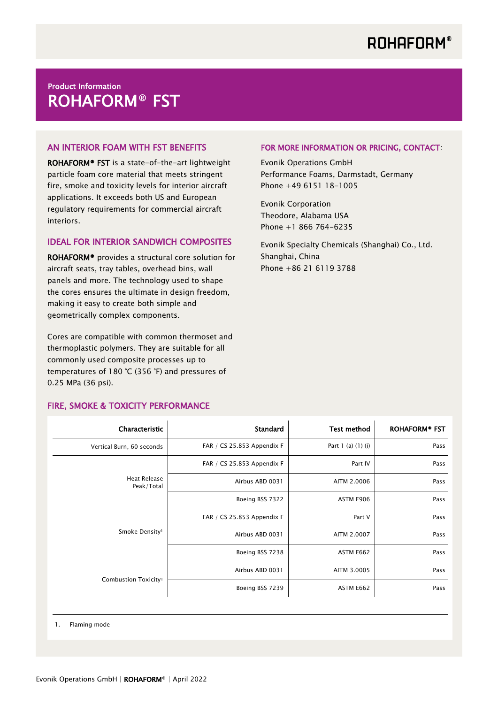# Product Information ROHAFORM® FST

## AN INTERIOR FOAM WITH FST BENEFITS

ROHAFORM® FST is a state-of-the-art lightweight particle foam core material that meets stringent fire, smoke and toxicity levels for interior aircraft applications. It exceeds both US and European regulatory requirements for commercial aircraft interiors.

#### IDEAL FOR INTERIOR SANDWICH COMPOSITES

ROHAFORM® provides a structural core solution for aircraft seats, tray tables, overhead bins, wall panels and more. The technology used to shape the cores ensures the ultimate in design freedom, making it easy to create both simple and geometrically complex components.

Cores are compatible with common thermoset and thermoplastic polymers. They are suitable for all commonly used composite processes up to temperatures of 180 °C (356 °F) and pressures of 0.25 MPa (36 psi).

## FIRE, SMOKE & TOXICITY PERFORMANCE

#### FOR MORE INFORMATION OR PRICING, CONTACT:

Evonik Operations GmbH Performance Foams, Darmstadt, Germany Phone +49 6151 18-1005

Evonik Corporation Theodore, Alabama USA Phone +1 866 764-6235

Evonik Specialty Chemicals (Shanghai) Co., Ltd. Shanghai, China Phone +86 21 6119 3788

| Characteristic                   | <b>Standard</b>            | <b>Test method</b>     | ROHAFORM <sup>®</sup> FST |
|----------------------------------|----------------------------|------------------------|---------------------------|
| Vertical Burn, 60 seconds        | FAR / CS 25.853 Appendix F | Part $1$ (a) $(1)$ (i) | Pass                      |
| Heat Release<br>Peak/Total       | FAR / CS 25.853 Appendix F | Part IV                | Pass                      |
|                                  | Airbus ABD 0031            | AITM 2.0006            | Pass                      |
|                                  | Boeing BSS 7322            | ASTM E906              | Pass                      |
| Smoke Density <sup>1</sup>       | FAR / CS 25.853 Appendix F | Part V                 | Pass                      |
|                                  | Airbus ABD 0031            | AITM 2.0007            | Pass                      |
|                                  | Boeing BSS 7238            | ASTM E662              | Pass                      |
| Combustion Toxicity <sup>1</sup> | Airbus ABD 0031            | AITM 3.0005            | Pass                      |
|                                  | Boeing BSS 7239            | ASTM E662              | Pass                      |

1. Flaming mode